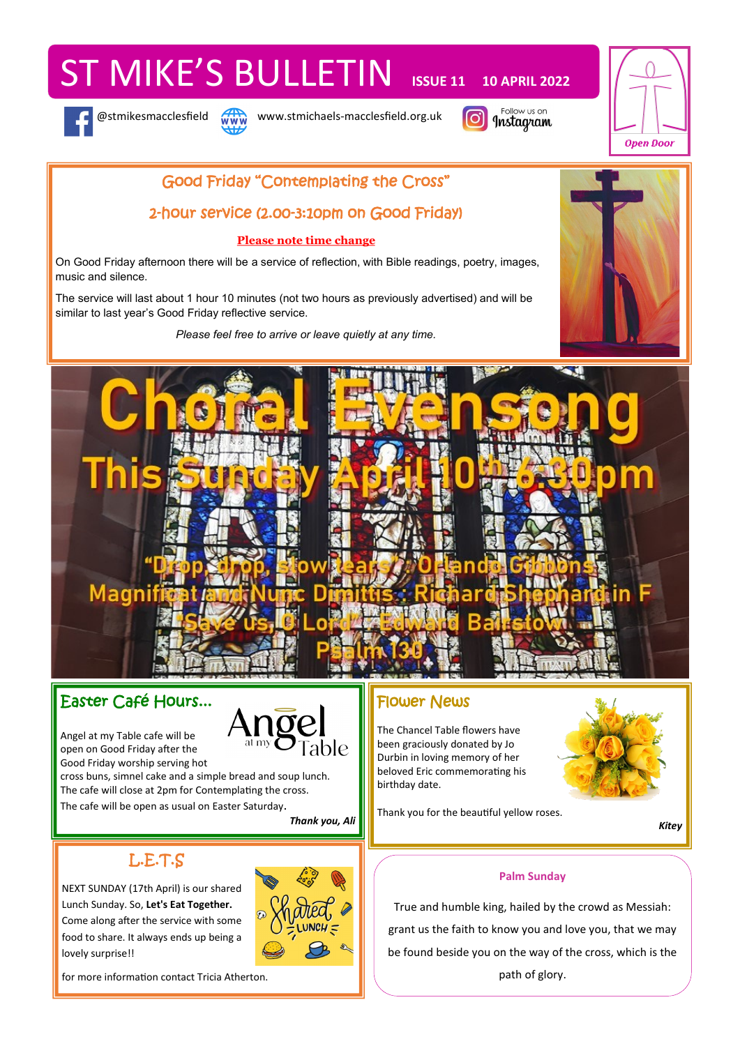# ST MIKE'S BULLETIN **ISSUE 11 10 APRIL 2022**





@stmikesmacclesfield www.stmichaels-macclesfield.org.uk





## Good Friday "Contemplating the Cross"

## 2-hour service (2.00-3:10pm on Good Friday)

### **Please note time change**

On Good Friday afternoon there will be a service of reflection, with Bible readings, poetry, images, music and silence.

The service will last about 1 hour 10 minutes (not two hours as previously advertised) and will be similar to last year's Good Friday reflective service.

*Please feel free to arrive or leave quietly at any time.*





## Easter Café Hours...

Angel at my Table cafe will be open on Good Friday after the Good Friday worship serving hot

cross buns, simnel cake and a simple bread and soup lunch. The cafe will close at 2pm for Contemplating the cross.

The cafe will be open as usual on Easter Saturday.

*Thank you, Ali*

# L.E.T.S

NEXT SUNDAY (17th April) is our shared Lunch Sunday. So, **Let's Eat Together.** Come along after the service with some food to share. It always ends up being a lovely surprise!!



## Flower News

The Chancel Table flowers have been graciously donated by Jo Durbin in loving memory of her beloved Eric commemorating his birthday date.

Thank you for the beautiful yellow roses.

*Kitey*

## **Palm Sunday**

True and humble king, hailed by the crowd as Messiah: grant us the faith to know you and love you, that we may be found beside you on the way of the cross, which is the path of glory.